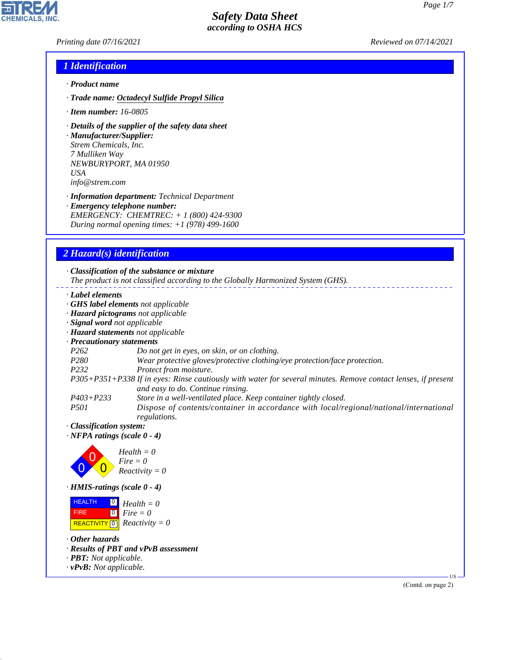*Printing date 07/16/2021 Reviewed on 07/14/2021*

## *1 Identification*

- *· Product name*
- *· Trade name: Octadecyl Sulfide Propyl Silica*
- *· Item number: 16-0805*
- *· Details of the supplier of the safety data sheet*

*· Manufacturer/Supplier: Strem Chemicals, Inc. 7 Mulliken Way NEWBURYPORT, MA 01950 USA info@strem.com*

*· Information department: Technical Department · Emergency telephone number: EMERGENCY: CHEMTREC: + 1 (800) 424-9300 During normal opening times: +1 (978) 499-1600*

# *2 Hazard(s) identification*

*· Classification of the substance or mixture The product is not classified according to the Globally Harmonized System (GHS). · Label elements · GHS label elements not applicable · Hazard pictograms not applicable · Signal word not applicable · Hazard statements not applicable · Precautionary statements P262 Do not get in eyes, on skin, or on clothing. P280 Wear protective gloves/protective clothing/eye protection/face protection. P232 Protect from moisture. P305+P351+P338 If in eyes: Rinse cautiously with water for several minutes. Remove contact lenses, if present and easy to do. Continue rinsing. P403+P233 Store in a well-ventilated place. Keep container tightly closed. P501 Dispose of contents/container in accordance with local/regional/national/international regulations. · Classification system: · NFPA ratings (scale 0 - 4)* 0 0  $\overline{\mathbf{0}}$ *Health = 0 Fire = 0 Reactivity = 0 · HMIS-ratings (scale 0 - 4)* **HEALTH**  FIRE  $\boxed{\text{REACTIVITY} \boxed{0}}$  Reactivity = 0 0 *Health = 0*  $\overline{\phantom{0}}$ *Fire = 0 · Other hazards · Results of PBT and vPvB assessment*

*· PBT: Not applicable.*

*· vPvB: Not applicable.*

44.1.1

(Contd. on page 2)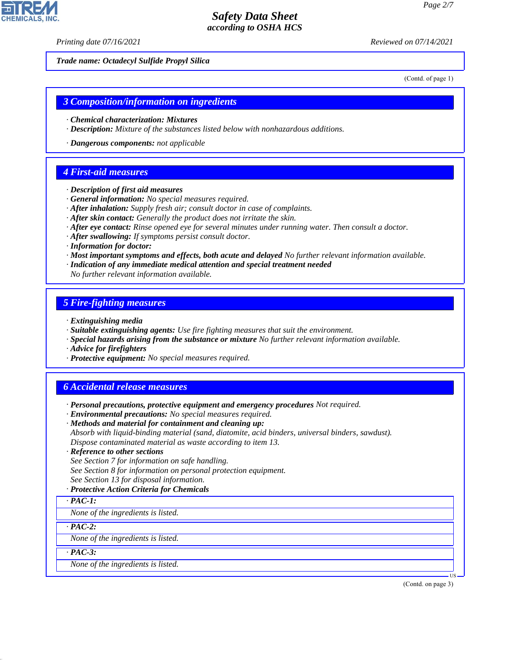*Printing date 07/16/2021 Reviewed on 07/14/2021*

*Trade name: Octadecyl Sulfide Propyl Silica*

(Contd. of page 1)

### *3 Composition/information on ingredients*

- *· Chemical characterization: Mixtures*
- *· Description: Mixture of the substances listed below with nonhazardous additions.*
- *· Dangerous components: not applicable*

### *4 First-aid measures*

- *· Description of first aid measures*
- *· General information: No special measures required.*
- *· After inhalation: Supply fresh air; consult doctor in case of complaints.*
- *· After skin contact: Generally the product does not irritate the skin.*
- *· After eye contact: Rinse opened eye for several minutes under running water. Then consult a doctor.*
- *· After swallowing: If symptoms persist consult doctor.*
- *· Information for doctor:*
- *· Most important symptoms and effects, both acute and delayed No further relevant information available.*
- *· Indication of any immediate medical attention and special treatment needed*
- *No further relevant information available.*

### *5 Fire-fighting measures*

- *· Extinguishing media*
- *· Suitable extinguishing agents: Use fire fighting measures that suit the environment.*
- *· Special hazards arising from the substance or mixture No further relevant information available.*
- *· Advice for firefighters*
- *· Protective equipment: No special measures required.*

## *6 Accidental release measures*

- *· Personal precautions, protective equipment and emergency procedures Not required.*
- *· Environmental precautions: No special measures required.*
- *· Methods and material for containment and cleaning up:*
- *Absorb with liquid-binding material (sand, diatomite, acid binders, universal binders, sawdust). Dispose contaminated material as waste according to item 13.*
- *· Reference to other sections*

*See Section 7 for information on safe handling.*

*See Section 8 for information on personal protection equipment.*

- *See Section 13 for disposal information.*
- *· Protective Action Criteria for Chemicals*

#### *· PAC-1:*

*None of the ingredients is listed.*

*· PAC-2:*

*None of the ingredients is listed.*

*· PAC-3:*

44.1.1

*None of the ingredients is listed.*

(Contd. on page 3)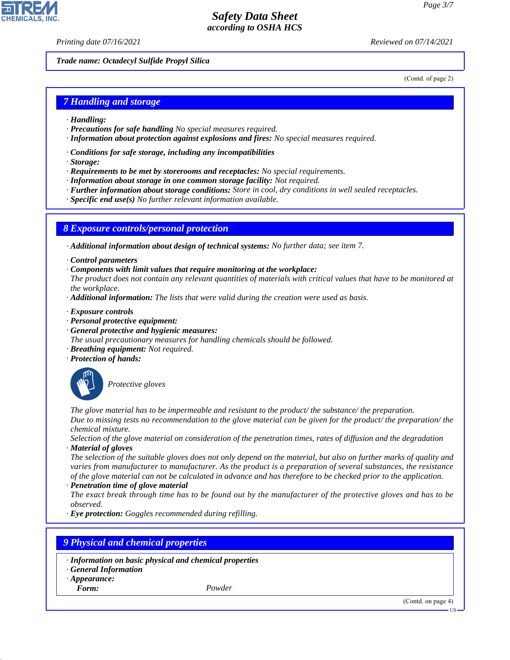*Printing date 07/16/2021 Reviewed on 07/14/2021*

*Trade name: Octadecyl Sulfide Propyl Silica*

(Contd. of page 2)

### *7 Handling and storage*

- *· Handling:*
- *· Precautions for safe handling No special measures required.*
- *· Information about protection against explosions and fires: No special measures required.*
- *· Conditions for safe storage, including any incompatibilities*
- *· Storage:*
- *· Requirements to be met by storerooms and receptacles: No special requirements.*
- *· Information about storage in one common storage facility: Not required.*
- *· Further information about storage conditions: Store in cool, dry conditions in well sealed receptacles.*
- *· Specific end use(s) No further relevant information available.*

### *8 Exposure controls/personal protection*

*· Additional information about design of technical systems: No further data; see item 7.*

- *· Control parameters*
- *· Components with limit values that require monitoring at the workplace:*
- *The product does not contain any relevant quantities of materials with critical values that have to be monitored at the workplace.*
- *· Additional information: The lists that were valid during the creation were used as basis.*
- *· Exposure controls*
- *· Personal protective equipment:*
- *· General protective and hygienic measures:*
- *The usual precautionary measures for handling chemicals should be followed.*
- *· Breathing equipment: Not required.*
- *· Protection of hands:*



\_S*Protective gloves*

*The glove material has to be impermeable and resistant to the product/ the substance/ the preparation. Due to missing tests no recommendation to the glove material can be given for the product/ the preparation/ the chemical mixture.*

*Selection of the glove material on consideration of the penetration times, rates of diffusion and the degradation · Material of gloves*

*The selection of the suitable gloves does not only depend on the material, but also on further marks of quality and varies from manufacturer to manufacturer. As the product is a preparation of several substances, the resistance of the glove material can not be calculated in advance and has therefore to be checked prior to the application.*

*· Penetration time of glove material*

*The exact break through time has to be found out by the manufacturer of the protective gloves and has to be observed.*

*· Eye protection: Goggles recommended during refilling.*

### *9 Physical and chemical properties*

- *· Information on basic physical and chemical properties*
- *· General Information*
- *· Appearance:*

44.1.1

*Form: Powder*



US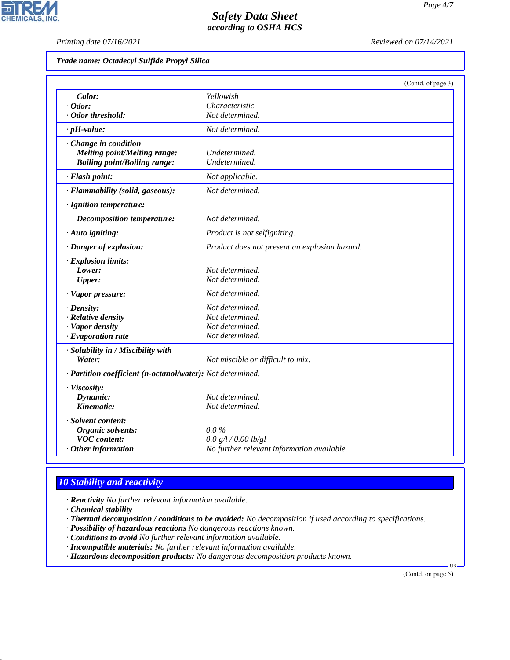*Printing date 07/16/2021 Reviewed on 07/14/2021*

 $\overline{\phantom{a}}$ 

**CHEMICALS, INC.** 

| Trade name: Octadecyl Sulfide Propyl Silica |  |  |  |  |
|---------------------------------------------|--|--|--|--|
|---------------------------------------------|--|--|--|--|

|                                                            |                                               | (Contd. of page 3) |
|------------------------------------------------------------|-----------------------------------------------|--------------------|
| Color:                                                     | Yellowish                                     |                    |
| $\cdot$ Odor:                                              | Characteristic                                |                    |
| · Odor threshold:                                          | Not determined.                               |                    |
| $\cdot$ pH-value:                                          | Not determined.                               |                    |
| Change in condition                                        |                                               |                    |
| <b>Melting point/Melting range:</b>                        | Undetermined.                                 |                    |
| <b>Boiling point/Boiling range:</b>                        | Undetermined.                                 |                    |
| · Flash point:                                             | Not applicable.                               |                    |
| · Flammability (solid, gaseous):                           | Not determined.                               |                    |
| · Ignition temperature:                                    |                                               |                    |
| <b>Decomposition temperature:</b>                          | Not determined.                               |                    |
| · Auto igniting:                                           | Product is not selfigniting.                  |                    |
| · Danger of explosion:                                     | Product does not present an explosion hazard. |                    |
| · Explosion limits:                                        |                                               |                    |
| Lower:                                                     | Not determined.                               |                    |
| <b>Upper:</b>                                              | Not determined.                               |                    |
| · Vapor pressure:                                          | Not determined.                               |                    |
| $\cdot$ Density:                                           | Not determined.                               |                    |
| · Relative density                                         | Not determined.                               |                    |
| · Vapor density                                            | Not determined.                               |                    |
| $\cdot$ Evaporation rate                                   | Not determined.                               |                    |
| · Solubility in / Miscibility with                         |                                               |                    |
| Water:                                                     | Not miscible or difficult to mix.             |                    |
| · Partition coefficient (n-octanol/water): Not determined. |                                               |                    |
| · Viscosity:                                               |                                               |                    |
| Dynamic:                                                   | Not determined.                               |                    |
| Kinematic:                                                 | Not determined.                               |                    |
| · Solvent content:                                         |                                               |                    |
| <b>Organic solvents:</b>                                   | $0.0\%$                                       |                    |
| <b>VOC</b> content:                                        | 0.0 g/l / 0.00 lb/gl                          |                    |
| $·$ Other information                                      | No further relevant information available.    |                    |

# *10 Stability and reactivity*

*· Reactivity No further relevant information available.*

*· Chemical stability*

44.1.1

*· Thermal decomposition / conditions to be avoided: No decomposition if used according to specifications.*

*· Possibility of hazardous reactions No dangerous reactions known.*

*· Conditions to avoid No further relevant information available.*

*· Incompatible materials: No further relevant information available.*

*· Hazardous decomposition products: No dangerous decomposition products known.*

(Contd. on page 5)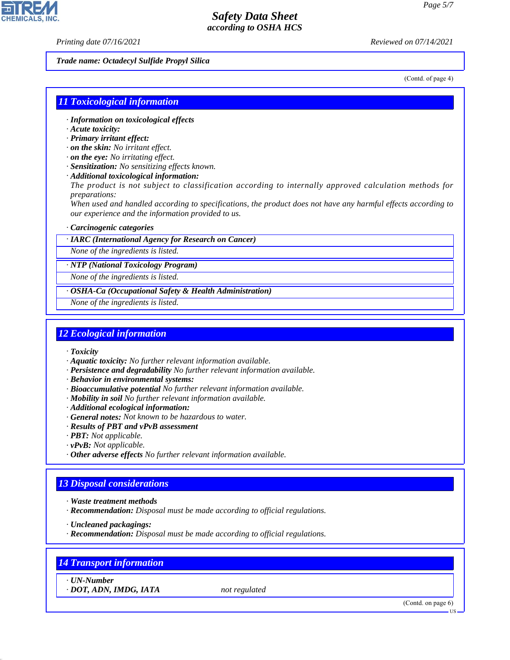*Printing date 07/16/2021 Reviewed on 07/14/2021*

*Trade name: Octadecyl Sulfide Propyl Silica*

(Contd. of page 4)

### *11 Toxicological information*

- *· Information on toxicological effects*
- *· Acute toxicity:*
- *· Primary irritant effect:*
- *· on the skin: No irritant effect.*
- *· on the eye: No irritating effect.*
- *· Sensitization: No sensitizing effects known.*
- *· Additional toxicological information:*

*The product is not subject to classification according to internally approved calculation methods for preparations:*

*When used and handled according to specifications, the product does not have any harmful effects according to our experience and the information provided to us.*

#### *· Carcinogenic categories*

*· IARC (International Agency for Research on Cancer)*

*None of the ingredients is listed.*

*· NTP (National Toxicology Program)*

*None of the ingredients is listed.*

*· OSHA-Ca (Occupational Safety & Health Administration)*

*None of the ingredients is listed.*

### *12 Ecological information*

- *· Toxicity*
- *· Aquatic toxicity: No further relevant information available.*
- *· Persistence and degradability No further relevant information available.*
- *· Behavior in environmental systems:*
- *· Bioaccumulative potential No further relevant information available.*
- *· Mobility in soil No further relevant information available.*
- *· Additional ecological information:*
- *· General notes: Not known to be hazardous to water.*
- *· Results of PBT and vPvB assessment*
- *· PBT: Not applicable.*
- *· vPvB: Not applicable.*
- *· Other adverse effects No further relevant information available.*

## *13 Disposal considerations*

- *· Waste treatment methods*
- *· Recommendation: Disposal must be made according to official regulations.*

*· Uncleaned packagings:*

*· Recommendation: Disposal must be made according to official regulations.*

## *14 Transport information*

*· UN-Number*

44.1.1

*· DOT, ADN, IMDG, IATA not regulated*

(Contd. on page 6)

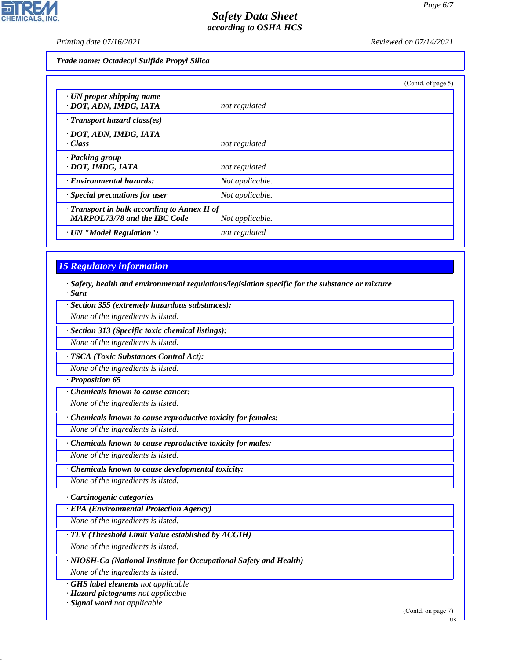**CHEMICALS, INC.** 

*Printing date 07/16/2021 Reviewed on 07/14/2021*

*Trade name: Octadecyl Sulfide Propyl Silica*

|                                                                                           |                 | (Contd. of page 5) |
|-------------------------------------------------------------------------------------------|-----------------|--------------------|
| $\cdot$ UN proper shipping name<br>· DOT, ADN, IMDG, IATA                                 | not regulated   |                    |
| $\cdot$ Transport hazard class(es)                                                        |                 |                    |
| · DOT, ADN, IMDG, IATA<br>· Class                                                         | not regulated   |                    |
| · Packing group<br>· DOT, IMDG, IATA                                                      | not regulated   |                    |
| · Environmental hazards:                                                                  | Not applicable. |                    |
| · Special precautions for user                                                            | Not applicable. |                    |
| $\cdot$ Transport in bulk according to Annex II of<br><b>MARPOL73/78 and the IBC Code</b> | Not applicable. |                    |
| · UN "Model Regulation":                                                                  | not regulated   |                    |

## *15 Regulatory information*

*· Safety, health and environmental regulations/legislation specific for the substance or mixture · Sara*

*· Section 355 (extremely hazardous substances):*

*None of the ingredients is listed.*

*· Section 313 (Specific toxic chemical listings):*

*None of the ingredients is listed.*

*· TSCA (Toxic Substances Control Act):*

*None of the ingredients is listed.*

*· Proposition 65*

*· Chemicals known to cause cancer:*

*None of the ingredients is listed.*

*· Chemicals known to cause reproductive toxicity for females:*

*None of the ingredients is listed.*

*· Chemicals known to cause reproductive toxicity for males:*

*None of the ingredients is listed.*

*· Chemicals known to cause developmental toxicity:*

*None of the ingredients is listed.*

*· Carcinogenic categories*

*· EPA (Environmental Protection Agency)*

*None of the ingredients is listed.*

*· TLV (Threshold Limit Value established by ACGIH)*

*None of the ingredients is listed.*

*· NIOSH-Ca (National Institute for Occupational Safety and Health)*

*None of the ingredients is listed.*

*· GHS label elements not applicable*

*· Hazard pictograms not applicable*

*· Signal word not applicable*

44.1.1

(Contd. on page 7)

**HS**